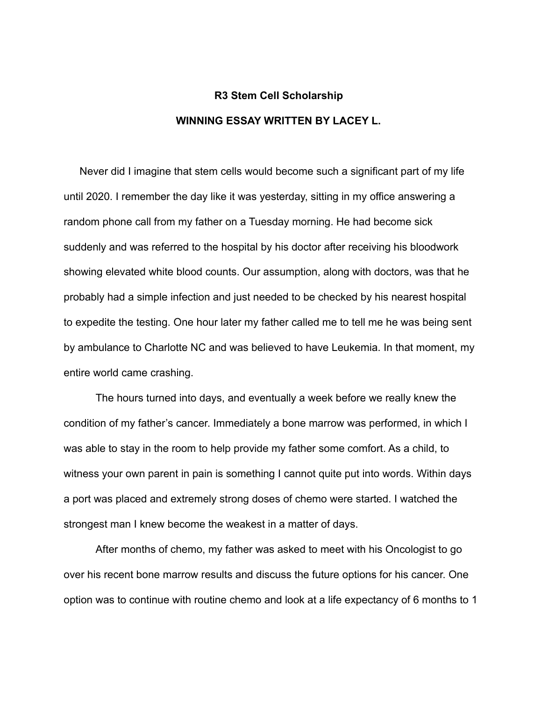## **R3 Stem Cell Scholarship WINNING ESSAY WRITTEN BY LACEY L.**

Never did I imagine that stem cells would become such a significant part of my life until 2020. I remember the day like it was yesterday, sitting in my office answering a random phone call from my father on a Tuesday morning. He had become sick suddenly and was referred to the hospital by his doctor after receiving his bloodwork showing elevated white blood counts. Our assumption, along with doctors, was that he probably had a simple infection and just needed to be checked by his nearest hospital to expedite the testing. One hour later my father called me to tell me he was being sent by ambulance to Charlotte NC and was believed to have Leukemia. In that moment, my entire world came crashing.

The hours turned into days, and eventually a week before we really knew the condition of my father's cancer. Immediately a bone marrow was performed, in which I was able to stay in the room to help provide my father some comfort. As a child, to witness your own parent in pain is something I cannot quite put into words. Within days a port was placed and extremely strong doses of chemo were started. I watched the strongest man I knew become the weakest in a matter of days.

After months of chemo, my father was asked to meet with his Oncologist to go over his recent bone marrow results and discuss the future options for his cancer. One option was to continue with routine chemo and look at a life expectancy of 6 months to 1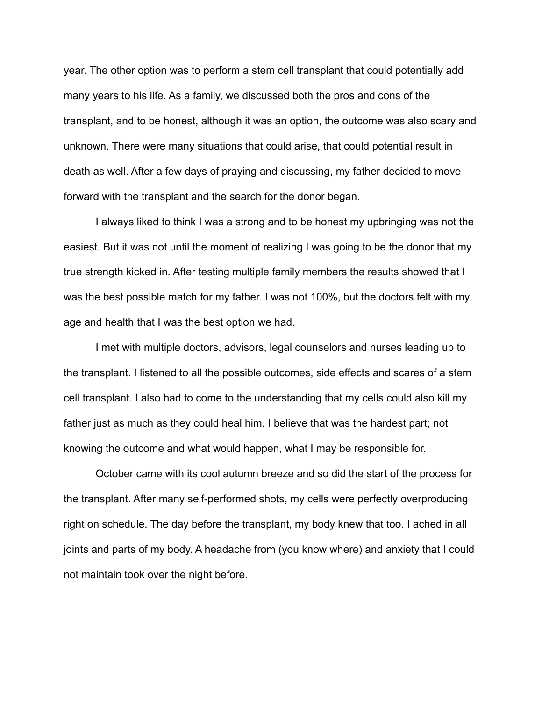year. The other option was to perform a stem cell transplant that could potentially add many years to his life. As a family, we discussed both the pros and cons of the transplant, and to be honest, although it was an option, the outcome was also scary and unknown. There were many situations that could arise, that could potential result in death as well. After a few days of praying and discussing, my father decided to move forward with the transplant and the search for the donor began.

I always liked to think I was a strong and to be honest my upbringing was not the easiest. But it was not until the moment of realizing I was going to be the donor that my true strength kicked in. After testing multiple family members the results showed that I was the best possible match for my father. I was not 100%, but the doctors felt with my age and health that I was the best option we had.

I met with multiple doctors, advisors, legal counselors and nurses leading up to the transplant. I listened to all the possible outcomes, side effects and scares of a stem cell transplant. I also had to come to the understanding that my cells could also kill my father just as much as they could heal him. I believe that was the hardest part; not knowing the outcome and what would happen, what I may be responsible for.

October came with its cool autumn breeze and so did the start of the process for the transplant. After many self-performed shots, my cells were perfectly overproducing right on schedule. The day before the transplant, my body knew that too. I ached in all joints and parts of my body. A headache from (you know where) and anxiety that I could not maintain took over the night before.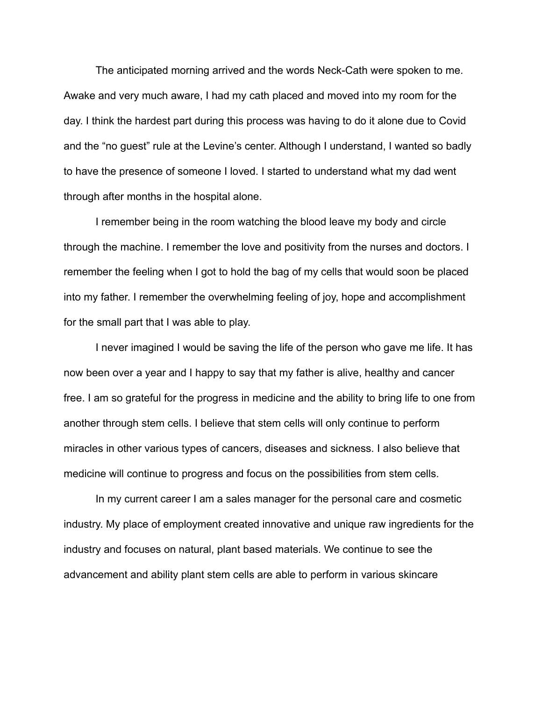The anticipated morning arrived and the words Neck-Cath were spoken to me. Awake and very much aware, I had my cath placed and moved into my room for the day. I think the hardest part during this process was having to do it alone due to Covid and the "no guest" rule at the Levine's center. Although I understand, I wanted so badly to have the presence of someone I loved. I started to understand what my dad went through after months in the hospital alone.

I remember being in the room watching the blood leave my body and circle through the machine. I remember the love and positivity from the nurses and doctors. I remember the feeling when I got to hold the bag of my cells that would soon be placed into my father. I remember the overwhelming feeling of joy, hope and accomplishment for the small part that I was able to play.

I never imagined I would be saving the life of the person who gave me life. It has now been over a year and I happy to say that my father is alive, healthy and cancer free. I am so grateful for the progress in medicine and the ability to bring life to one from another through stem cells. I believe that stem cells will only continue to perform miracles in other various types of cancers, diseases and sickness. I also believe that medicine will continue to progress and focus on the possibilities from stem cells.

In my current career I am a sales manager for the personal care and cosmetic industry. My place of employment created innovative and unique raw ingredients for the industry and focuses on natural, plant based materials. We continue to see the advancement and ability plant stem cells are able to perform in various skincare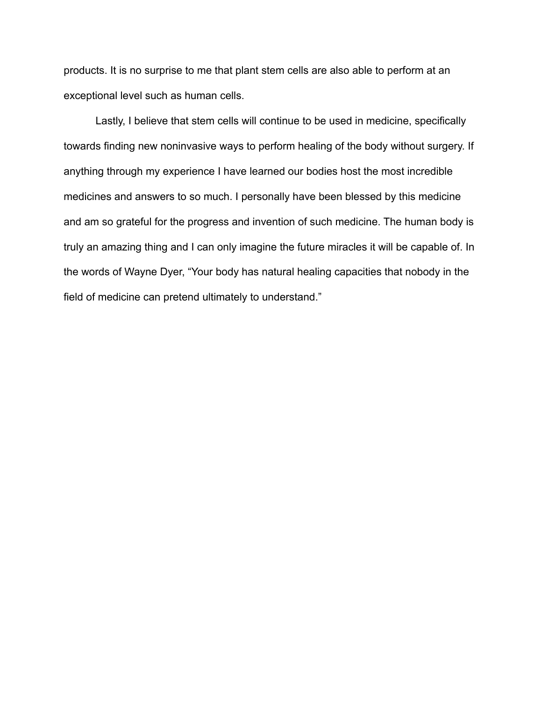products. It is no surprise to me that plant stem cells are also able to perform at an exceptional level such as human cells.

Lastly, I believe that stem cells will continue to be used in medicine, specifically towards finding new noninvasive ways to perform healing of the body without surgery. If anything through my experience I have learned our bodies host the most incredible medicines and answers to so much. I personally have been blessed by this medicine and am so grateful for the progress and invention of such medicine. The human body is truly an amazing thing and I can only imagine the future miracles it will be capable of. In the words of Wayne Dyer, "Your body has natural healing capacities that nobody in the field of medicine can pretend ultimately to understand."